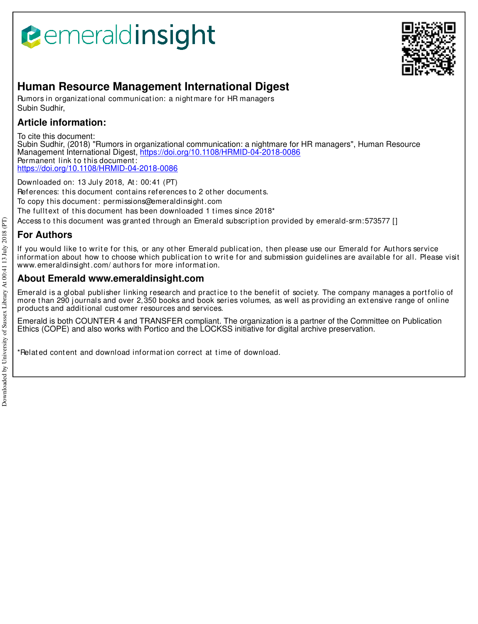# **Bemeraldinsight**



## **Human Resource Management International Digest**

Rumors in organizational communication: a nightmare for HR managers Subin Sudhir,

## **Article information:**

To cite this document:

Subin Sudhir, (2018) "Rumors in organizational communication: a nightmare for HR managers", Human Resource Management International Digest, https://doi.org/10.1108/HRMID-04-2018-0086 Permanent link to this document: https://doi.org/10.1108/HRMID-04-2018-0086

Downloaded on: 13 July 2018, At : 00:41 (PT) References: this document contains references to 2 other documents. To copy t his document : permissions@emeraldinsight .com

The fulltext of this document has been downloaded 1 times since 2018\*

Access to this document was granted through an Emerald subscription provided by emerald-srm:573577 []

## **For Authors**

If you would like to write for this, or any other Emerald publication, then please use our Emerald for Authors service information about how to choose which publication to write for and submission guidelines are available for all. Please visit www.emeraldinsight.com/ authors for more information.

### **About Emerald www.emeraldinsight.com**

Emerald is a global publisher linking research and practice to the benefit of society. The company manages a portfolio of more than 290 journals and over 2,350 books and book series volumes, as well as providing an extensive range of online products and additional customer resources and services.

Emerald is both COUNTER 4 and TRANSFER compliant. The organization is a partner of the Committee on Publication Ethics (COPE) and also works with Portico and the LOCKSS initiative for digital archive preservation.

\*Related content and download information correct at time of download.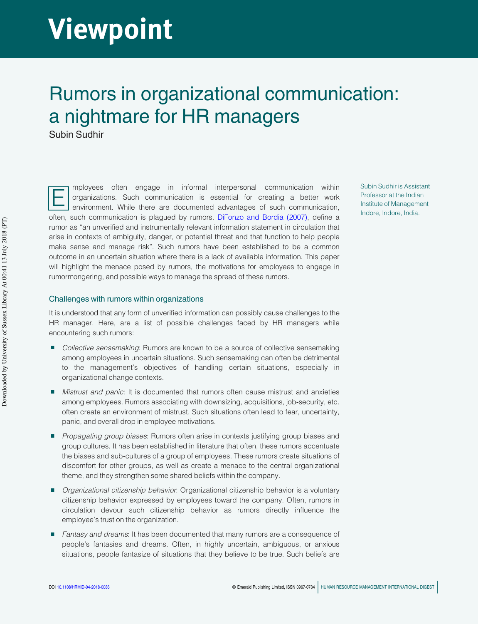# Viewpoint

## Rumors in organizational communication: a nightmare for HR managers

Subin Sudhir

E mployees often engage in informal interpersonal communication within organizations. Such communication is essential for creating a better work environment. While there are documented advantages of such communication, often, such communication is plagued by rumors. DiFonzo and Bordia (2007), define a rumor as "an unverified and instrumentally relevant information statement in circulation that arise in contexts of ambiguity, danger, or potential threat and that function to help people make sense and manage risk". Such rumors have been established to be a common outcome in an uncertain situation where there is a lack of available information. This paper will highlight the menace posed by rumors, the motivations for employees to engage in rumormongering, and possible ways to manage the spread of these rumors. be a conservation of the conservation of the conservation of the conservation of the conservation of the conservation of the conservation of the conservation of the conservation of the conservation of the conservation of

Subin Sudhir is Assistant Professor at the Indian Institute of Management Indore, Indore, India.

### Challenges with rumors within organizations

It is understood that any form of unverified information can possibly cause challenges to the HR manager. Here, are a list of possible challenges faced by HR managers while encountering such rumors:

- Collective sensemaking: Rumors are known to be a source of collective sensemaking among employees in uncertain situations. Such sensemaking can often be detrimental to the management's objectives of handling certain situations, especially in organizational change contexts.
- Mistrust and panic: It is documented that rumors often cause mistrust and anxieties among employees. Rumors associating with downsizing, acquisitions, job-security, etc. often create an environment of mistrust. Such situations often lead to fear, uncertainty, panic, and overall drop in employee motivations.
- Propagating group biases: Rumors often arise in contexts justifying group biases and group cultures. It has been established in literature that often, these rumors accentuate the biases and sub-cultures of a group of employees. These rumors create situations of discomfort for other groups, as well as create a menace to the central organizational theme, and they strengthen some shared beliefs within the company.
- Organizational citizenship behavior: Organizational citizenship behavior is a voluntary citizenship behavior expressed by employees toward the company. Often, rumors in circulation devour such citizenship behavior as rumors directly influence the employee's trust on the organization.
- Fantasy and dreams: It has been documented that many rumors are a consequence of people's fantasies and dreams. Often, in highly uncertain, ambiguous, or anxious situations, people fantasize of situations that they believe to be true. Such beliefs are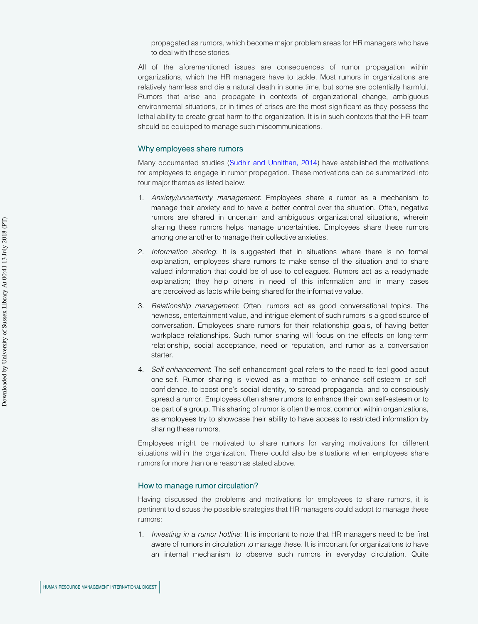propagated as rumors, which become major problem areas for HR managers who have to deal with these stories.

All of the aforementioned issues are consequences of rumor propagation within organizations, which the HR managers have to tackle. Most rumors in organizations are relatively harmless and die a natural death in some time, but some are potentially harmful. Rumors that arise and propagate in contexts of organizational change, ambiguous environmental situations, or in times of crises are the most significant as they possess the lethal ability to create great harm to the organization. It is in such contexts that the HR team should be equipped to manage such miscommunications.

### Why employees share rumors

Many documented studies (Sudhir and Unnithan, 2014) have established the motivations for employees to engage in rumor propagation. These motivations can be summarized into four major themes as listed below:

- 1. Anxiety/uncertainty management. Employees share a rumor as a mechanism to manage their anxiety and to have a better control over the situation. Often, negative rumors are shared in uncertain and ambiguous organizational situations, wherein sharing these rumors helps manage uncertainties. Employees share these rumors among one another to manage their collective anxieties.
- 2. Information sharing: It is suggested that in situations where there is no formal explanation, employees share rumors to make sense of the situation and to share valued information that could be of use to colleagues. Rumors act as a readymade explanation; they help others in need of this information and in many cases are perceived as facts while being shared for the informative value.
- 3. Relationship management: Often, rumors act as good conversational topics. The newness, entertainment value, and intrigue element of such rumors is a good source of conversation. Employees share rumors for their relationship goals, of having better workplace relationships. Such rumor sharing will focus on the effects on long-term relationship, social acceptance, need or reputation, and rumor as a conversation starter.
- 4. Self-enhancement: The self-enhancement goal refers to the need to feel good about one-self. Rumor sharing is viewed as a method to enhance self-esteem or selfconfidence, to boost one's social identity, to spread propaganda, and to consciously spread a rumor. Employees often share rumors to enhance their own self-esteem or to be part of a group. This sharing of rumor is often the most common within organizations, as employees try to showcase their ability to have access to restricted information by sharing these rumors. FOR HUMAN RESOURCE MANAGEMENT INTERNATIONAL DIGEST HUMAN RESOURCE MANAGEMENT INTERNATIONAL DIGEST PROMOTIONAL PORTS (PUNIVAL RESOURCE MANAGEMENT INTERNATIONAL DIGEST PROMOTIONAL PORTS (PUNIVAL RESOURCE MANAGEMENT INTERNATI

Employees might be motivated to share rumors for varying motivations for different situations within the organization. There could also be situations when employees share rumors for more than one reason as stated above.

#### How to manage rumor circulation?

Having discussed the problems and motivations for employees to share rumors, it is pertinent to discuss the possible strategies that HR managers could adopt to manage these rumors:

1. Investing in a rumor hotline: It is important to note that HR managers need to be first aware of rumors in circulation to manage these. It is important for organizations to have an internal mechanism to observe such rumors in everyday circulation. Quite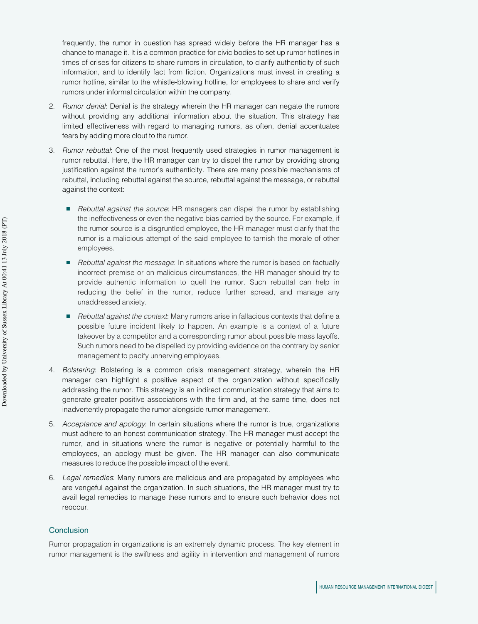frequently, the rumor in question has spread widely before the HR manager has a chance to manage it. It is a common practice for civic bodies to set up rumor hotlines in times of crises for citizens to share rumors in circulation, to clarify authenticity of such information, and to identify fact from fiction. Organizations must invest in creating a rumor hotline, similar to the whistle-blowing hotline, for employees to share and verify rumors under informal circulation within the company.

- 2. Rumor denial: Denial is the strategy wherein the HR manager can negate the rumors without providing any additional information about the situation. This strategy has limited effectiveness with regard to managing rumors, as often, denial accentuates fears by adding more clout to the rumor.
- 3. Rumor rebuttal: One of the most frequently used strategies in rumor management is rumor rebuttal. Here, the HR manager can try to dispel the rumor by providing strong justification against the rumor's authenticity. There are many possible mechanisms of rebuttal, including rebuttal against the source, rebuttal against the message, or rebuttal against the context:
	- Rebuttal against the source: HR managers can dispel the rumor by establishing the ineffectiveness or even the negative bias carried by the source. For example, if the rumor source is a disgruntled employee, the HR manager must clarify that the rumor is a malicious attempt of the said employee to tarnish the morale of other employees.
	- Rebuttal against the message: In situations where the rumor is based on factually incorrect premise or on malicious circumstances, the HR manager should try to provide authentic information to quell the rumor. Such rebuttal can help in reducing the belief in the rumor, reduce further spread, and manage any unaddressed anxiety.
	- Rebuttal against the context: Many rumors arise in fallacious contexts that define a possible future incident likely to happen. An example is a context of a future takeover by a competitor and a corresponding rumor about possible mass layoffs. Such rumors need to be dispelled by providing evidence on the contrary by senior management to pacify unnerving employees.
- 4. Bolstering: Bolstering is a common crisis management strategy, wherein the HR manager can highlight a positive aspect of the organization without specifically addressing the rumor. This strategy is an indirect communication strategy that aims to generate greater positive associations with the firm and, at the same time, does not inadvertently propagate the rumor alongside rumor management.
- 5. Acceptance and apology: In certain situations where the rumor is true, organizations must adhere to an honest communication strategy. The HR manager must accept the rumor, and in situations where the rumor is negative or potentially harmful to the employees, an apology must be given. The HR manager can also communicate measures to reduce the possible impact of the event. jumps are the control of the control of the same of the same of the same of the control of the control of the control of the control of the control of the control of the control of the control of the control of the contro
	- 6. Legal remedies: Many rumors are malicious and are propagated by employees who are vengeful against the organization. In such situations, the HR manager must try to avail legal remedies to manage these rumors and to ensure such behavior does not reoccur.

### **Conclusion**

Rumor propagation in organizations is an extremely dynamic process. The key element in rumor management is the swiftness and agility in intervention and management of rumors